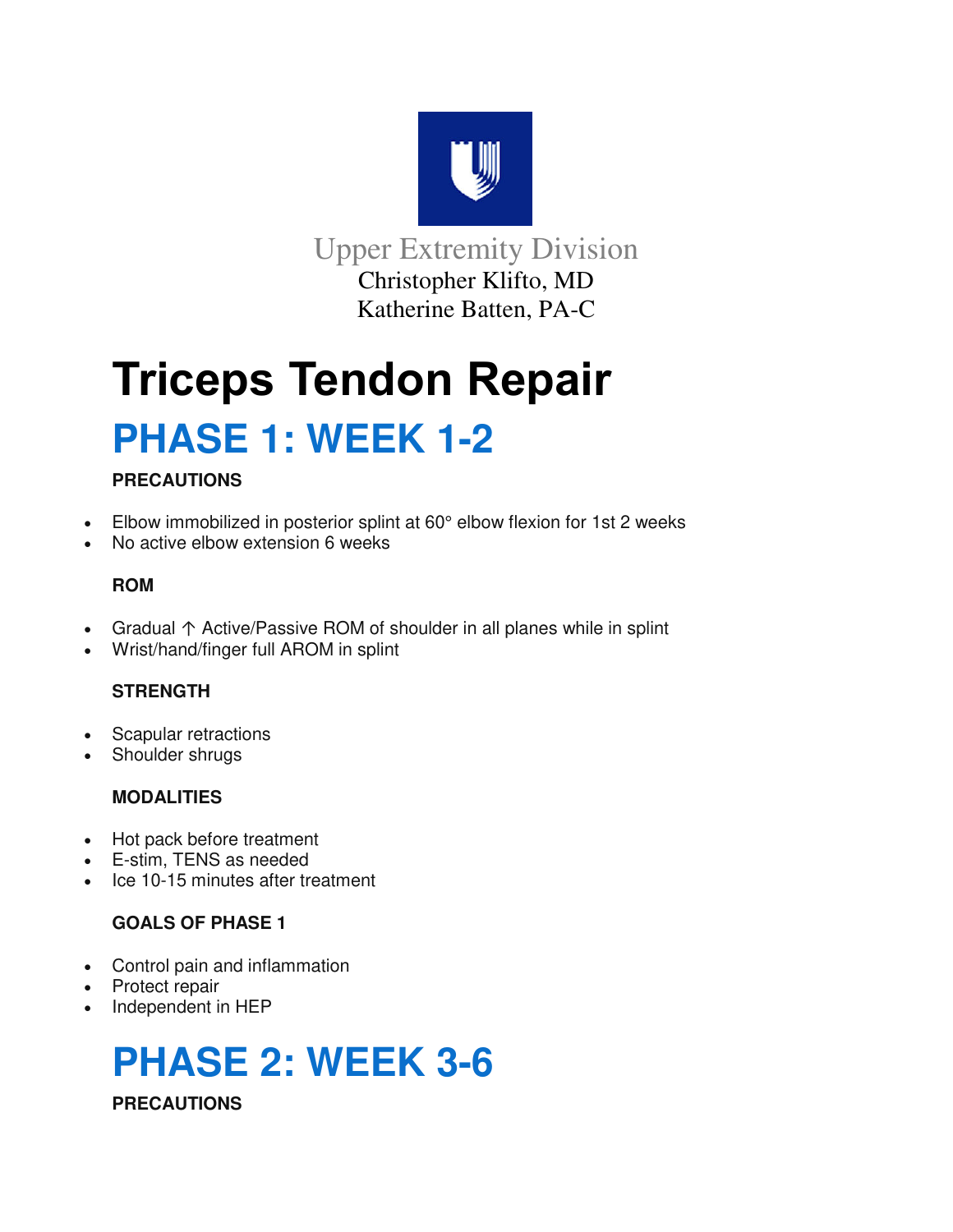

Upper Extremity Division Christopher Klifto, MD Katherine Batten, PA-C

# **Triceps Tendon Repair PHASE 1: WEEK 1-2**

# **PRECAUTIONS**

- Elbow immobilized in posterior splint at 60° elbow flexion for 1st 2 weeks
- No active elbow extension 6 weeks

# **ROM**

- Gradual ↑ Active/Passive ROM of shoulder in all planes while in splint
- Wrist/hand/finger full AROM in splint

# **STRENGTH**

- Scapular retractions
- Shoulder shrugs

# **MODALITIES**

- Hot pack before treatment
- E-stim, TENS as needed
- Ice 10-15 minutes after treatment

# **GOALS OF PHASE 1**

- Control pain and inflammation
- Protect repair
- Independent in HEP

# **PHASE 2: WEEK 3-6 PRECAUTIONS**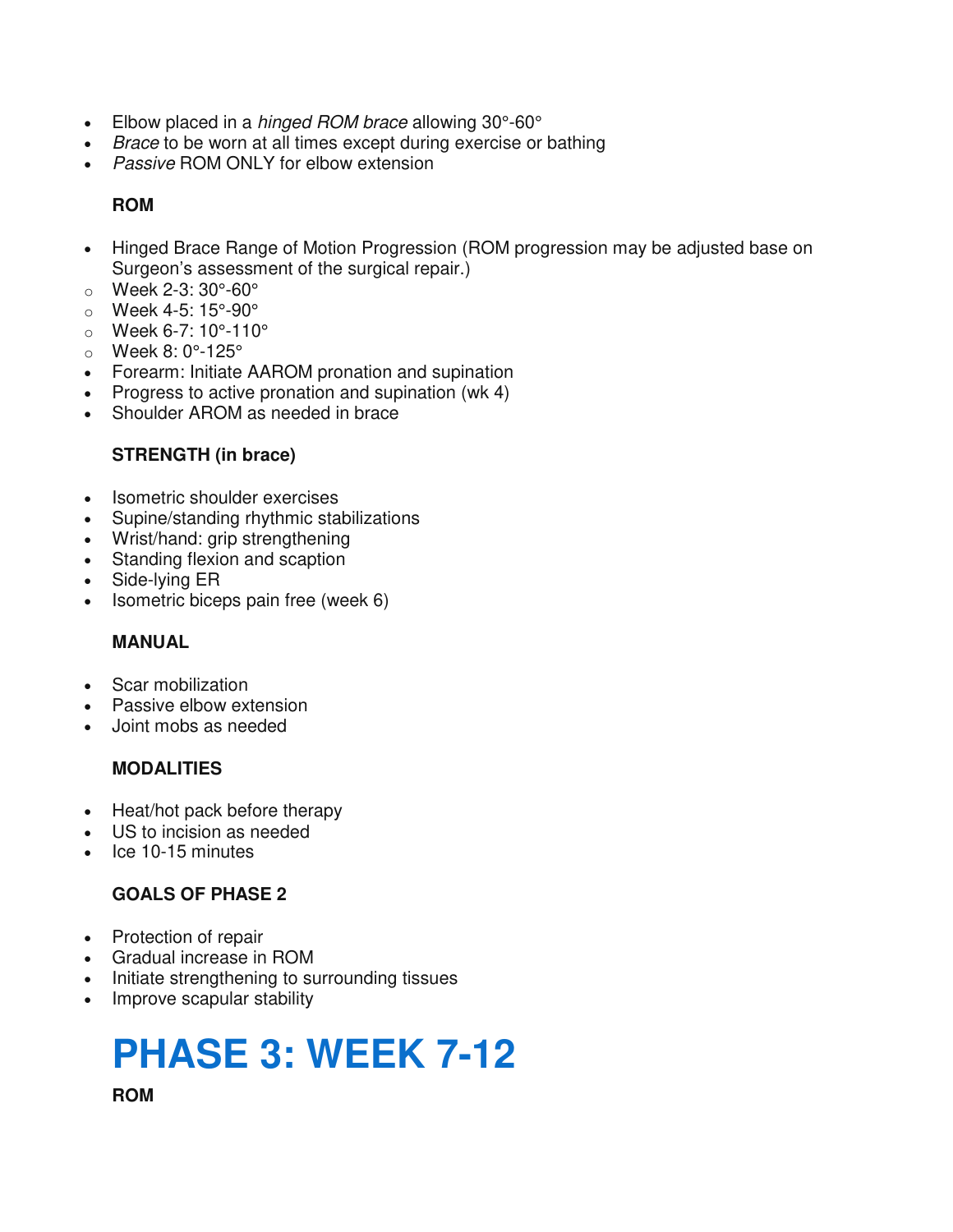- Elbow placed in a *hinged ROM brace* allowing 30°-60°
- Brace to be worn at all times except during exercise or bathing
- **Passive ROM ONLY for elbow extension**

# **ROM**

- Hinged Brace Range of Motion Progression (ROM progression may be adjusted base on Surgeon's assessment of the surgical repair.)
- o Week 2-3: 30°-60°
- o Week 4-5: 15°-90°
- $\circ$  Week 6-7: 10°-110°
- o Week 8: 0°-125°
- Forearm: Initiate AAROM pronation and supination
- Progress to active pronation and supination (wk 4)
- Shoulder AROM as needed in brace

# **STRENGTH (in brace)**

- Isometric shoulder exercises
- Supine/standing rhythmic stabilizations
- Wrist/hand: grip strengthening
- Standing flexion and scaption
- Side-lying ER
- Isometric biceps pain free (week 6)

# **MANUAL**

- Scar mobilization
- Passive elbow extension
- Joint mobs as needed

# **MODALITIES**

- Heat/hot pack before therapy
- US to incision as needed
- Ice 10-15 minutes

# **GOALS OF PHASE 2**

- Protection of repair
- Gradual increase in ROM
- Initiate strengthening to surrounding tissues
- Improve scapular stability

# **PHASE 3: WEEK 7-12**

**ROM**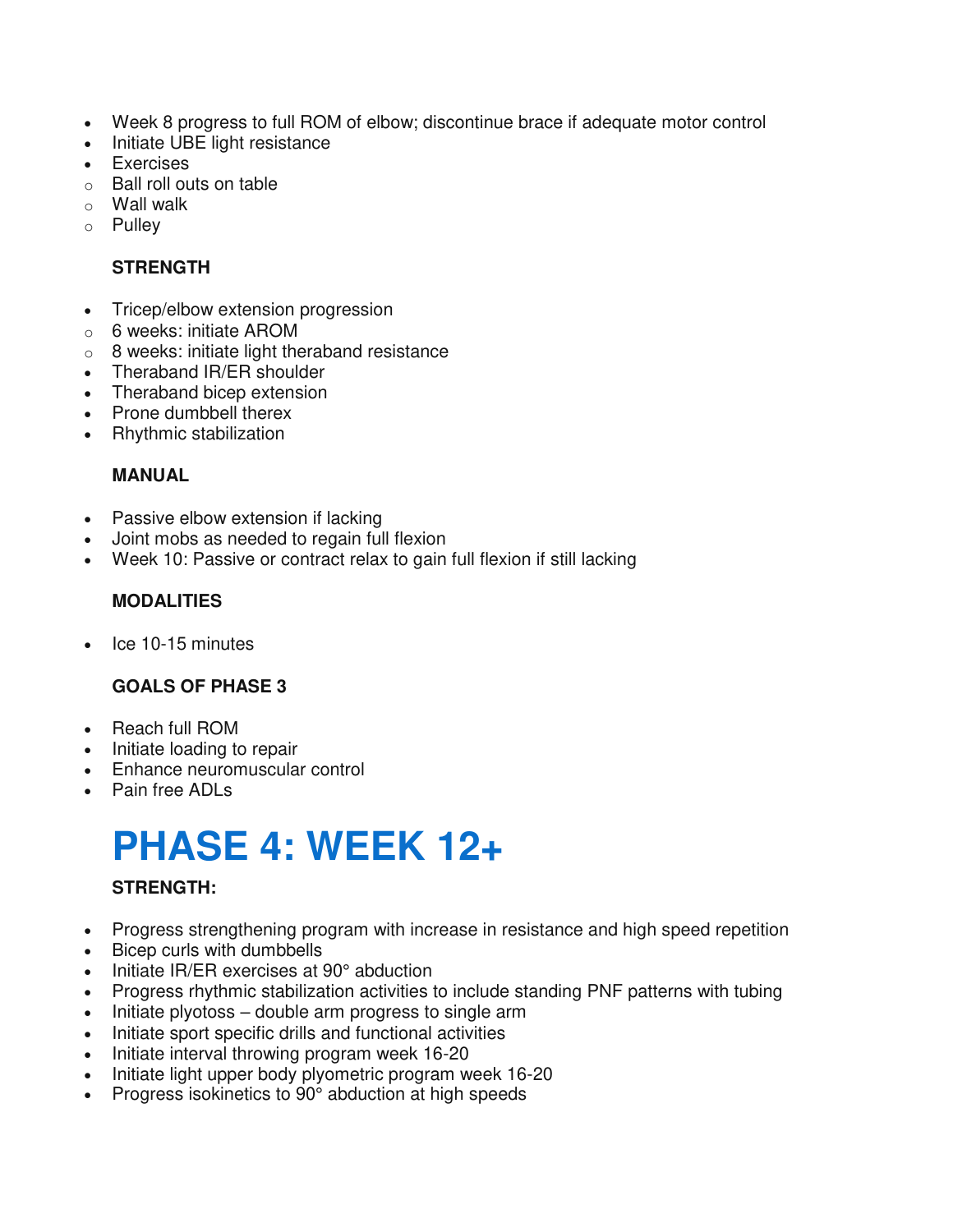- Week 8 progress to full ROM of elbow; discontinue brace if adequate motor control
- Initiate UBE light resistance
- Exercises
- o Ball roll outs on table
- o Wall walk
- o Pulley

#### **STRENGTH**

- Tricep/elbow extension progression
- o 6 weeks: initiate AROM
- o 8 weeks: initiate light theraband resistance
- Theraband IR/ER shoulder
- Theraband bicep extension
- Prone dumbbell therex
- Rhythmic stabilization

#### **MANUAL**

- Passive elbow extension if lacking
- Joint mobs as needed to regain full flexion
- Week 10: Passive or contract relax to gain full flexion if still lacking

# **MODALITIES**

Ice 10-15 minutes

#### **GOALS OF PHASE 3**

- Reach full ROM
- Initiate loading to repair
- Enhance neuromuscular control
- Pain free ADLs

# **PHASE 4: WEEK 12+**

#### **STRENGTH:**

- Progress strengthening program with increase in resistance and high speed repetition
- Bicep curls with dumbbells
- Initiate IR/ER exercises at 90° abduction
- Progress rhythmic stabilization activities to include standing PNF patterns with tubing
- Initiate plyotoss double arm progress to single arm
- Initiate sport specific drills and functional activities
- Initiate interval throwing program week 16-20
- Initiate light upper body plyometric program week 16-20
- Progress isokinetics to 90° abduction at high speeds